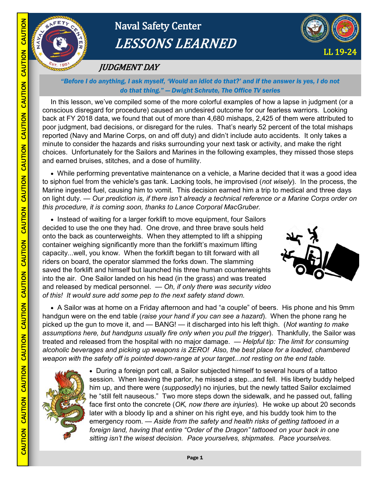

CAUTION

# Naval Safety Center LESSONS LEARNED



## JUDGMENT DAY

### *"Before I do anything, I ask myself, 'Would an idiot do that?' and if the answer is yes, I do not do that thing." — Dwight Schrute, The Office TV series*

In this lesson, we've compiled some of the more colorful examples of how a lapse in judgment (or a conscious disregard for procedure) caused an undesired outcome for our fearless warriors. Looking back at FY 2018 data, we found that out of more than 4,680 mishaps, 2,425 of them were attributed to poor judgment, bad decisions, or disregard for the rules. That's nearly 52 percent of the total mishaps reported (Navy and Marine Corps, on and off duty) and didn't include auto accidents. It only takes a minute to consider the hazards and risks surrounding your next task or activity, and make the right choices. Unfortunately for the Sailors and Marines in the following examples, they missed those steps and earned bruises, stitches, and a dose of humility.

 While performing preventative maintenance on a vehicle, a Marine decided that it was a good idea to siphon fuel from the vehicle's gas tank. Lacking tools, he improvised (*not wisely*). In the process, the Marine ingested fuel, causing him to vomit. This decision earned him a trip to medical and three days on light duty. — *Our prediction is, if there isn't already a technical reference or a Marine Corps order on this procedure, it is coming soon, thanks to Lance Corporal MacGruber.*

• Instead of waiting for a larger forklift to move equipment, four Sailors decided to use the one they had. One drove, and three brave souls held onto the back as counterweights. When they attempted to lift a shipping container weighing significantly more than the forklift's maximum lifting capacity...well, you know. When the forklift began to tilt forward with all riders on board, the operator slammed the forks down. The slamming saved the forklift and himself but launched his three human counterweights into the air. One Sailor landed on his head (in the grass) and was treated and released by medical personnel. *— Oh, if only there was security video of this! It would sure add some pep to the next safety stand down.*



A Sailor was at home on a Friday afternoon and had "a couple" of beers. His phone and his 9mm handgun were on the end table (*raise your hand if you can see a hazard*). When the phone rang he picked up the gun to move it, and — BANG! — it discharged into his left thigh. (*Not wanting to make assumptions here, but handguns usually fire only when you pull the trigger*). Thankfully, the Sailor was treated and released from the hospital with no major damage. — *Helpful tip: The limit for consuming alcoholic beverages and picking up weapons is ZERO! Also, the best place for a loaded, chambered weapon with the safety off is pointed down-range at your target...not resting on the end table.* 



• During a foreign port call, a Sailor subjected himself to several hours of a tattoo session. When leaving the parlor, he missed a step...and fell. His liberty buddy helped him up, and there were (*supposedly*) no injuries, but the newly tatted Sailor exclaimed he "still felt nauseous." Two more steps down the sidewalk, and he passed out, falling face first onto the concrete (*OK, now there are injuries*)*.* He woke up about 20 seconds later with a bloody lip and a shiner on his right eye, and his buddy took him to the emergency room. — *Aside from the safety and health risks of getting tattooed in a foreign land, having that entire "Order of the Dragon" tattooed on your back in one sitting isn't the wisest decision. Pace yourselves, shipmates. Pace yourselves.*